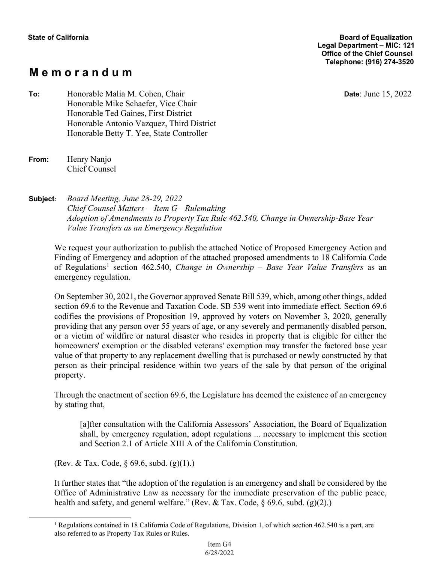# **M e m o r a n d u m**

**Date**: June 15, 2022

**To:** Honorable Malia M. Cohen, Chair Honorable Mike Schaefer, Vice Chair Honorable Ted Gaines, First District Honorable Antonio Vazquez, Third District Honorable Betty T. Yee, State Controller

| From: | Henry Nanjo          |
|-------|----------------------|
|       | <b>Chief Counsel</b> |

**Subject:** *Board Meeting, June 28-29, 2022 Chief Counsel Matters —Item G—Rulemaking Adoption of Amendments to Property Tax Rule 462.540, Change in Ownership-Base Year Value Transfers as an Emergency Regulation* 

We request your authorization to publish the attached Notice of Proposed Emergency Action and Finding of Emergency and adoption of the attached proposed amendments to 18 California Code of Regulations<sup>1</sup> section 462.540, *Change in Ownership – Base Year Value Transfers* as an emergency regulation.

On September 30, 2021, the Governor approved Senate Bill 539, which, among other things, added section 69.6 to the Revenue and Taxation Code. SB 539 went into immediate effect. Section 69.6 codifies the provisions of Proposition 19, approved by voters on November 3, 2020, generally providing that any person over 55 years of age, or any severely and permanently disabled person, or a victim of wildfire or natural disaster who resides in property that is eligible for either the homeowners' exemption or the disabled veterans' exemption may transfer the factored base year value of that property to any replacement dwelling that is purchased or newly constructed by that person as their principal residence within two years of the sale by that person of the original property.

Through the enactment of section 69.6, the Legislature has deemed the existence of an emergency by stating that,

[a]fter consultation with the California Assessors' Association, the Board of Equalization shall, by emergency regulation, adopt regulations ... necessary to implement this section and Section 2.1 of Article XIII A of the California Constitution.

(Rev. & Tax. Code, § 69.6, subd. (g)(1).)

It further states that "the adoption of the regulation is an emergency and shall be considered by the Office of Administrative Law as necessary for the immediate preservation of the public peace, health and safety, and general welfare." (Rev. & Tax. Code,  $\S$  69.6, subd. (g)(2).)

<sup>1</sup> Regulations contained in 18 California Code of Regulations, Division 1, of which section 462.540 is a part, are also referred to as Property Tax Rules or Rules.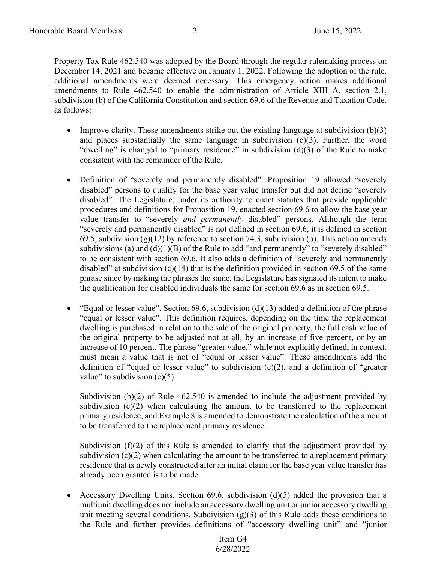Property Tax Rule 462.540 was adopted by the Board through the regular rulemaking process on December 14, 2021 and became effective on January 1, 2022. Following the adoption of the rule, additional amendments were deemed necessary. This emergency action makes additional amendments to Rule 462.540 to enable the administration of Article XIII A, section 2.1, subdivision (b) of the California Constitution and section 69.6 of the Revenue and Taxation Code, as follows:

- Improve clarity. These amendments strike out the existing language at subdivision (b)(3) and places substantially the same language in subdivision  $(c)(3)$ . Further, the word "dwelling" is changed to "primary residence" in subdivision  $(d)(3)$  of the Rule to make consistent with the remainder of the Rule.
- Definition of "severely and permanently disabled". Proposition 19 allowed "severely disabled" persons to qualify for the base year value transfer but did not define "severely disabled". The Legislature, under its authority to enact statutes that provide applicable procedures and definitions for Proposition 19, enacted section 69.6 to allow the base year value transfer to "severely *and permanently* disabled" persons. Although the term "severely and permanently disabled" is not defined in section 69.6, it is defined in section 69.5, subdivision  $(g)(12)$  by reference to section 74.3, subdivision (b). This action amends subdivisions (a) and  $(d)(1)(B)$  of the Rule to add "and permanently" to "severely disabled" to be consistent with section 69.6. It also adds a definition of "severely and permanently disabled" at subdivision  $(c)(14)$  that is the definition provided in section 69.5 of the same phrase since by making the phrases the same, the Legislature has signaled its intent to make the qualification for disabled individuals the same for section 69.6 as in section 69.5.
- "Equal or lesser value". Section 69.6, subdivision (d)(13) added a definition of the phrase "equal or lesser value". This definition requires, depending on the time the replacement dwelling is purchased in relation to the sale of the original property, the full cash value of the original property to be adjusted not at all, by an increase of five percent, or by an increase of 10 percent. The phrase "greater value," while not explicitly defined, in context, must mean a value that is not of "equal or lesser value". These amendments add the definition of "equal or lesser value" to subdivision (c)(2), and a definition of "greater value" to subdivision  $(c)(5)$ .

Subdivision (b)(2) of Rule 462.540 is amended to include the adjustment provided by subdivision  $(c)(2)$  when calculating the amount to be transferred to the replacement primary residence, and Example 8 is amended to demonstrate the calculation of the amount to be transferred to the replacement primary residence.

Subdivision (f)(2) of this Rule is amended to clarify that the adjustment provided by subdivision  $(c)(2)$  when calculating the amount to be transferred to a replacement primary residence that is newly constructed after an initial claim for the base year value transfer has already been granted is to be made.

Accessory Dwelling Units. Section  $69.6$ , subdivision  $(d)(5)$  added the provision that a multiunit dwelling does not include an accessory dwelling unit or junior accessory dwelling unit meeting several conditions. Subdivision  $(g)(3)$  of this Rule adds these conditions to the Rule and further provides definitions of "accessory dwelling unit" and "junior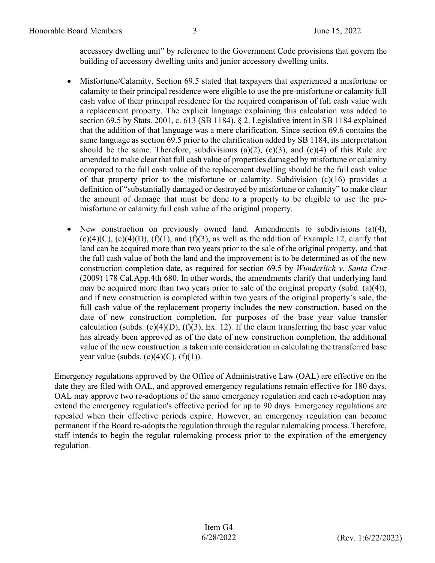accessory dwelling unit" by reference to the Government Code provisions that govern the building of accessory dwelling units and junior accessory dwelling units.

- Misfortune/Calamity. Section 69.5 stated that taxpayers that experienced a misfortune or calamity to their principal residence were eligible to use the pre-misfortune or calamity full cash value of their principal residence for the required comparison of full cash value with a replacement property. The explicit language explaining this calculation was added to section 69.5 by Stats. 2001, c. 613 (SB 1184), § 2. Legislative intent in SB 1184 explained that the addition of that language was a mere clarification. Since section 69.6 contains the same language as section 69.5 prior to the clarification added by SB 1184, its interpretation should be the same. Therefore, subdivisions (a)(2), (c)(3), and (c)(4) of this Rule are amended to make clear that full cash value of properties damaged by misfortune or calamity compared to the full cash value of the replacement dwelling should be the full cash value of that property prior to the misfortune or calamity. Subdivision  $(c)(16)$  provides a definition of "substantially damaged or destroyed by misfortune or calamity" to make clear the amount of damage that must be done to a property to be eligible to use the premisfortune or calamity full cash value of the original property.
- New construction on previously owned land. Amendments to subdivisions (a)(4),  $(c)(4)(C)$ ,  $(c)(4)(D)$ ,  $(f)(1)$ , and  $(f)(3)$ , as well as the addition of Example 12, clarify that land can be acquired more than two years prior to the sale of the original property, and that the full cash value of both the land and the improvement is to be determined as of the new construction completion date, as required for section 69.5 by *Wunderlich v. Santa Cruz* (2009) 178 Cal.App.4th 680. In other words, the amendments clarify that underlying land may be acquired more than two years prior to sale of the original property (subd. (a)(4)), and if new construction is completed within two years of the original property's sale, the full cash value of the replacement property includes the new construction, based on the date of new construction completion, for purposes of the base year value transfer calculation (subds.  $(c)(4)(D)$ ,  $(f)(3)$ , Ex. 12). If the claim transferring the base year value has already been approved as of the date of new construction completion, the additional value of the new construction is taken into consideration in calculating the transferred base year value (subds.  $(c)(4)(C)$ ,  $(f)(1)$ ).

Emergency regulations approved by the Office of Administrative Law (OAL) are effective on the date they are filed with OAL, and approved emergency regulations remain effective for 180 days. OAL may approve two re-adoptions of the same emergency regulation and each re-adoption may extend the emergency regulation's effective period for up to 90 days. Emergency regulations are repealed when their effective periods expire. However, an emergency regulation can become permanent if the Board re-adopts the regulation through the regular rulemaking process. Therefore, staff intends to begin the regular rulemaking process prior to the expiration of the emergency regulation.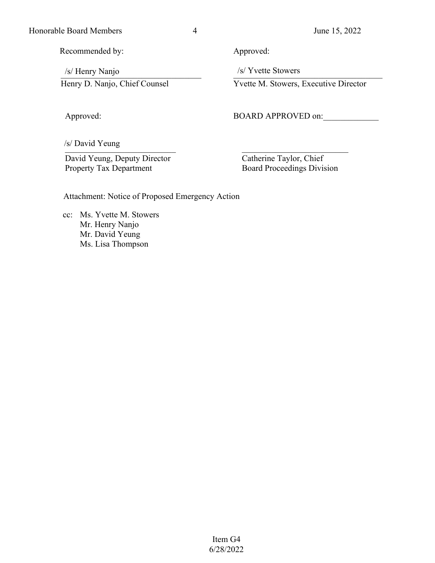Honorable Board Members 4 June 15, 2022

Recommended by:

/s/ Henry Nanjo \_\_\_\_\_\_\_\_\_\_\_\_\_\_\_\_\_\_\_\_\_\_\_\_\_\_\_\_\_\_\_\_\_ /s/ Henry Nanjo /s/ Yvette Stowers Henry D. Nanjo, Chief Counsel

Approved:

 $\sqrt{\frac{S_{\text{out}}}{S_{\text{out}}}}$ \_\_\_\_\_\_\_\_\_\_\_\_\_\_\_\_\_\_\_\_\_\_\_\_\_\_ /s/ David Yeung

 David Yeung, Deputy Director Property Tax Department

Approved:

/s/ Yvette Stowers

Yvette M. Stowers, Executive Director

BOARD APPROVED on:

 Catherine Taylor, Chief Board Proceedings Division

Attachment: Notice of Proposed Emergency Action

 cc: Ms. Yvette M. Stowers Mr. Henry Nanjo Mr. David Yeung Ms. Lisa Thompson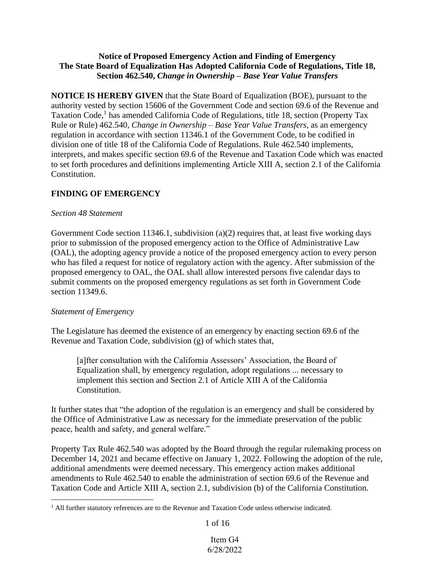### **Notice of Proposed Emergency Action and Finding of Emergency The State Board of Equalization Has Adopted California Code of Regulations, Title 18, Section 462.540,** *Change in Ownership – Base Year Value Transfers*

**NOTICE IS HEREBY GIVEN** that the State Board of Equalization (BOE), pursuant to the authority vested by section 15606 of the Government Code and section 69.6 of the Revenue and Taxation Code,<sup>1</sup> has amended California Code of Regulations, title 18, section (Property Tax Rule or Rule) 462.540, *Change in Ownership – Base Year Value Transfers*, as an emergency regulation in accordance with section 11346.1 of the Government Code, to be codified in division one of title 18 of the California Code of Regulations. Rule 462.540 implements, interprets, and makes specific section 69.6 of the Revenue and Taxation Code which was enacted to set forth procedures and definitions implementing Article XIII A, section 2.1 of the California Constitution.

# **FINDING OF EMERGENCY**

### *Section 48 Statement*

Government Code section 11346.1, subdivision (a)(2) requires that, at least five working days prior to submission of the proposed emergency action to the Office of Administrative Law (OAL), the adopting agency provide a notice of the proposed emergency action to every person who has filed a request for notice of regulatory action with the agency. After submission of the proposed emergency to OAL, the OAL shall allow interested persons five calendar days to submit comments on the proposed emergency regulations as set forth in Government Code section 11349.6.

### *Statement of Emergency*

The Legislature has deemed the existence of an emergency by enacting section 69.6 of the Revenue and Taxation Code, subdivision (g) of which states that,

[a]fter consultation with the California Assessors' Association, the Board of Equalization shall, by emergency regulation, adopt regulations ... necessary to implement this section and Section 2.1 of Article XIII A of the California Constitution.

It further states that "the adoption of the regulation is an emergency and shall be considered by the Office of Administrative Law as necessary for the immediate preservation of the public peace, health and safety, and general welfare."

Property Tax Rule 462.540 was adopted by the Board through the regular rulemaking process on December 14, 2021 and became effective on January 1, 2022. Following the adoption of the rule, additional amendments were deemed necessary. This emergency action makes additional amendments to Rule 462.540 to enable the administration of section 69.6 of the Revenue and Taxation Code and Article XIII A, section 2.1, subdivision (b) of the California Constitution.

1 of 16

<sup>&</sup>lt;sup>1</sup> All further statutory references are to the Revenue and Taxation Code unless otherwise indicated.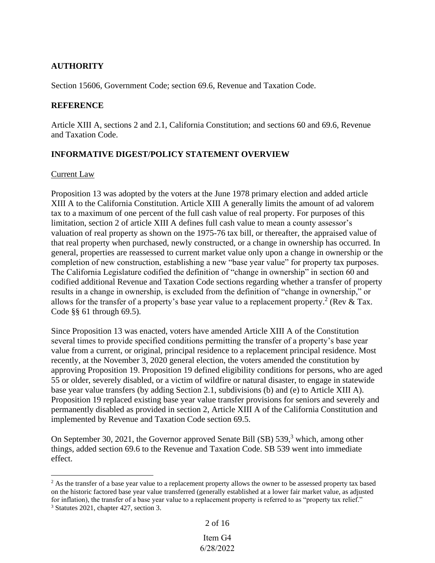# **AUTHORITY**

Section 15606, Government Code; section 69.6, Revenue and Taxation Code.

### **REFERENCE**

Article XIII A, sections 2 and 2.1, California Constitution; and sections 60 and 69.6, Revenue and Taxation Code.

# **INFORMATIVE DIGEST/POLICY STATEMENT OVERVIEW**

### Current Law

Proposition 13 was adopted by the voters at the June 1978 primary election and added article XIII A to the California Constitution. Article XIII A generally limits the amount of ad valorem tax to a maximum of one percent of the full cash value of real property. For purposes of this limitation, section 2 of article XIII A defines full cash value to mean a county assessor's valuation of real property as shown on the 1975-76 tax bill, or thereafter, the appraised value of that real property when purchased, newly constructed, or a change in ownership has occurred. In general, properties are reassessed to current market value only upon a change in ownership or the completion of new construction, establishing a new "base year value" for property tax purposes. The California Legislature codified the definition of "change in ownership" in section 60 and codified additional Revenue and Taxation Code sections regarding whether a transfer of property results in a change in ownership, is excluded from the definition of "change in ownership," or allows for the transfer of a property's base year value to a replacement property.<sup>2</sup> (Rev & Tax. Code §§ 61 through 69.5).

Since Proposition 13 was enacted, voters have amended Article XIII A of the Constitution several times to provide specified conditions permitting the transfer of a property's base year value from a current, or original, principal residence to a replacement principal residence. Most recently, at the November 3, 2020 general election, the voters amended the constitution by approving Proposition 19. Proposition 19 defined eligibility conditions for persons, who are aged 55 or older, severely disabled, or a victim of wildfire or natural disaster, to engage in statewide base year value transfers (by adding Section 2.1, subdivisions (b) and (e) to Article XIII A). Proposition 19 replaced existing base year value transfer provisions for seniors and severely and permanently disabled as provided in section 2, Article XIII A of the California Constitution and implemented by Revenue and Taxation Code section 69.5.

On September 30, 2021, the Governor approved Senate Bill (SB) 539,<sup>3</sup> which, among other things, added section 69.6 to the Revenue and Taxation Code. SB 539 went into immediate effect.

```
2 of 16
```
<sup>&</sup>lt;sup>2</sup> As the transfer of a base year value to a replacement property allows the owner to be assessed property tax based on the historic factored base year value transferred (generally established at a lower fair market value, as adjusted for inflation), the transfer of a base year value to a replacement property is referred to as "property tax relief." <sup>3</sup> Statutes 2021, chapter 427, section 3.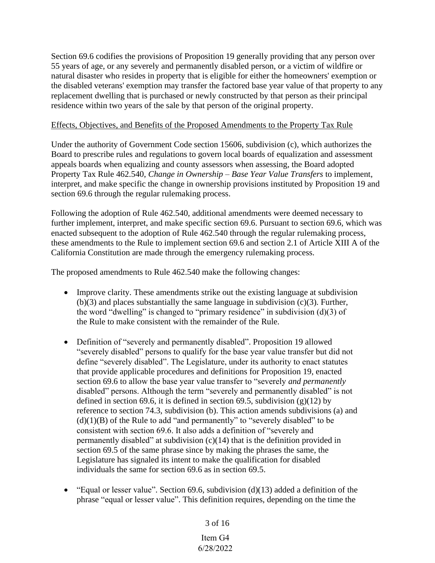Section 69.6 codifies the provisions of Proposition 19 generally providing that any person over 55 years of age, or any severely and permanently disabled person, or a victim of wildfire or natural disaster who resides in property that is eligible for either the homeowners' exemption or the disabled veterans' exemption may transfer the factored base year value of that property to any replacement dwelling that is purchased or newly constructed by that person as their principal residence within two years of the sale by that person of the original property.

### Effects, Objectives, and Benefits of the Proposed Amendments to the Property Tax Rule

Under the authority of Government Code section 15606, subdivision (c), which authorizes the Board to prescribe rules and regulations to govern local boards of equalization and assessment appeals boards when equalizing and county assessors when assessing, the Board adopted Property Tax Rule 462.540, *Change in Ownership – Base Year Value Transfers* to implement, interpret, and make specific the change in ownership provisions instituted by Proposition 19 and section 69.6 through the regular rulemaking process.

Following the adoption of Rule 462.540, additional amendments were deemed necessary to further implement, interpret, and make specific section 69.6. Pursuant to section 69.6, which was enacted subsequent to the adoption of Rule 462.540 through the regular rulemaking process, these amendments to the Rule to implement section 69.6 and section 2.1 of Article XIII A of the California Constitution are made through the emergency rulemaking process.

The proposed amendments to Rule 462.540 make the following changes:

- Improve clarity. These amendments strike out the existing language at subdivision  $(b)(3)$  and places substantially the same language in subdivision  $(c)(3)$ . Further, the word "dwelling" is changed to "primary residence" in subdivision  $(d)(3)$  of the Rule to make consistent with the remainder of the Rule.
- Definition of "severely and permanently disabled". Proposition 19 allowed "severely disabled" persons to qualify for the base year value transfer but did not define "severely disabled". The Legislature, under its authority to enact statutes that provide applicable procedures and definitions for Proposition 19, enacted section 69.6 to allow the base year value transfer to "severely *and permanently* disabled" persons. Although the term "severely and permanently disabled" is not defined in section 69.6, it is defined in section 69.5, subdivision  $(g)(12)$  by reference to section 74.3, subdivision (b). This action amends subdivisions (a) and  $(d)(1)(B)$  of the Rule to add "and permanently" to "severely disabled" to be consistent with section 69.6. It also adds a definition of "severely and permanently disabled" at subdivision (c)(14) that is the definition provided in section 69.5 of the same phrase since by making the phrases the same, the Legislature has signaled its intent to make the qualification for disabled individuals the same for section 69.6 as in section 69.5.
- "Equal or lesser value". Section 69.6, subdivision (d)(13) added a definition of the phrase "equal or lesser value". This definition requires, depending on the time the

3 of 16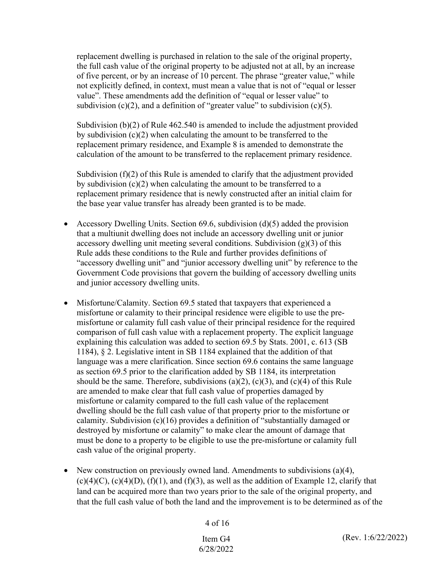replacement dwelling is purchased in relation to the sale of the original property, the full cash value of the original property to be adjusted not at all, by an increase of five percent, or by an increase of 10 percent. The phrase "greater value," while not explicitly defined, in context, must mean a value that is not of "equal or lesser value". These amendments add the definition of "equal or lesser value" to subdivision  $(c)(2)$ , and a definition of "greater value" to subdivision  $(c)(5)$ .

Subdivision (b)(2) of Rule 462.540 is amended to include the adjustment provided by subdivision (c)(2) when calculating the amount to be transferred to the replacement primary residence, and Example 8 is amended to demonstrate the calculation of the amount to be transferred to the replacement primary residence.

Subdivision  $(f)(2)$  of this Rule is amended to clarify that the adjustment provided by subdivision (c)(2) when calculating the amount to be transferred to a replacement primary residence that is newly constructed after an initial claim for the base year value transfer has already been granted is to be made.

- Accessory Dwelling Units. Section 69.6, subdivision  $(d)(5)$  added the provision that a multiunit dwelling does not include an accessory dwelling unit or junior accessory dwelling unit meeting several conditions. Subdivision  $(g)(3)$  of this Rule adds these conditions to the Rule and further provides definitions of "accessory dwelling unit" and "junior accessory dwelling unit" by reference to the Government Code provisions that govern the building of accessory dwelling units and junior accessory dwelling units.
- Misfortune/Calamity. Section 69.5 stated that taxpayers that experienced a misfortune or calamity to their principal residence were eligible to use the premisfortune or calamity full cash value of their principal residence for the required comparison of full cash value with a replacement property. The explicit language explaining this calculation was added to section 69.5 by Stats. 2001, c. 613 (SB 1184), § 2. Legislative intent in SB 1184 explained that the addition of that language was a mere clarification. Since section 69.6 contains the same language as section 69.5 prior to the clarification added by SB 1184, its interpretation should be the same. Therefore, subdivisions  $(a)(2)$ ,  $(c)(3)$ , and  $(c)(4)$  of this Rule are amended to make clear that full cash value of properties damaged by misfortune or calamity compared to the full cash value of the replacement dwelling should be the full cash value of that property prior to the misfortune or calamity. Subdivision (c)(16) provides a definition of "substantially damaged or destroyed by misfortune or calamity" to make clear the amount of damage that must be done to a property to be eligible to use the pre-misfortune or calamity full cash value of the original property.
- New construction on previously owned land. Amendments to subdivisions  $(a)(4)$ ,  $(c)(4)(C)$ ,  $(c)(4)(D)$ ,  $(f)(1)$ , and  $(f)(3)$ , as well as the addition of Example 12, clarify that land can be acquired more than two years prior to the sale of the original property, and that the full cash value of both the land and the improvement is to be determined as of the

4 of 16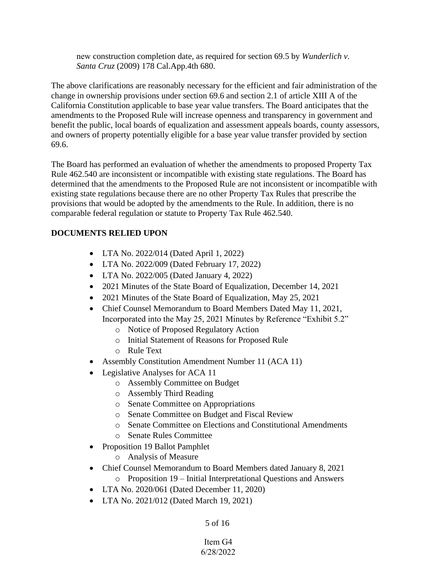new construction completion date, as required for section 69.5 by *Wunderlich v. Santa Cruz* (2009) 178 Cal.App.4th 680.

The above clarifications are reasonably necessary for the efficient and fair administration of the change in ownership provisions under section 69.6 and section 2.1 of article XIII A of the California Constitution applicable to base year value transfers. The Board anticipates that the amendments to the Proposed Rule will increase openness and transparency in government and benefit the public, local boards of equalization and assessment appeals boards, county assessors, and owners of property potentially eligible for a base year value transfer provided by section 69.6.

The Board has performed an evaluation of whether the amendments to proposed Property Tax Rule 462.540 are inconsistent or incompatible with existing state regulations. The Board has determined that the amendments to the Proposed Rule are not inconsistent or incompatible with existing state regulations because there are no other Property Tax Rules that prescribe the provisions that would be adopted by the amendments to the Rule. In addition, there is no comparable federal regulation or statute to Property Tax Rule 462.540.

# **DOCUMENTS RELIED UPON**

- LTA No. 2022/014 (Dated April 1, 2022)
- LTA No. 2022/009 (Dated February 17, 2022)
- LTA No. 2022/005 (Dated January 4, 2022)
- 2021 Minutes of the State Board of Equalization, December 14, 2021
- 2021 Minutes of the State Board of Equalization, May 25, 2021
- Chief Counsel Memorandum to Board Members Dated May 11, 2021, Incorporated into the May 25, 2021 Minutes by Reference "Exhibit 5.2"
	- o Notice of Proposed Regulatory Action
	- o Initial Statement of Reasons for Proposed Rule
	- o Rule Text
- Assembly Constitution Amendment Number 11 (ACA 11)
- Legislative Analyses for ACA 11
	- o Assembly Committee on Budget
	- o Assembly Third Reading
	- o Senate Committee on Appropriations
	- o Senate Committee on Budget and Fiscal Review
	- o Senate Committee on Elections and Constitutional Amendments
	- o Senate Rules Committee
- Proposition 19 Ballot Pamphlet
	- o Analysis of Measure
- Chief Counsel Memorandum to Board Members dated January 8, 2021 o Proposition 19 – Initial Interpretational Questions and Answers
- LTA No. 2020/061 (Dated December 11, 2020)
- LTA No. 2021/012 (Dated March 19, 2021)

# 5 of 16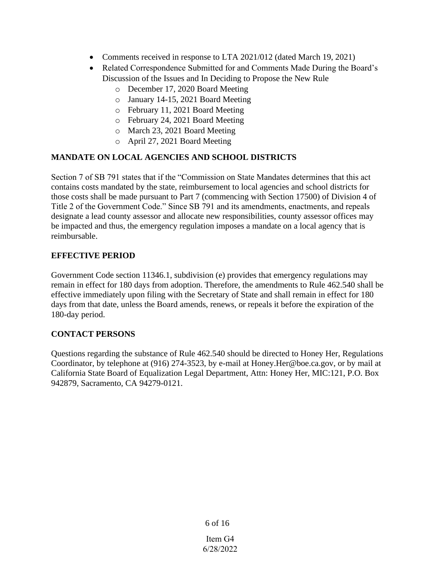- Comments received in response to LTA 2021/012 (dated March 19, 2021)
- Related Correspondence Submitted for and Comments Made During the Board's Discussion of the Issues and In Deciding to Propose the New Rule
	- o December 17, 2020 Board Meeting
	- o January 14-15, 2021 Board Meeting
	- o February 11, 2021 Board Meeting
	- o February 24, 2021 Board Meeting
	- o March 23, 2021 Board Meeting
	- o April 27, 2021 Board Meeting

# **MANDATE ON LOCAL AGENCIES AND SCHOOL DISTRICTS**

Section 7 of SB 791 states that if the "Commission on State Mandates determines that this act contains costs mandated by the state, reimbursement to local agencies and school districts for those costs shall be made pursuant to Part 7 (commencing with Section 17500) of Division 4 of Title 2 of the Government Code." Since SB 791 and its amendments, enactments, and repeals designate a lead county assessor and allocate new responsibilities, county assessor offices may be impacted and thus, the emergency regulation imposes a mandate on a local agency that is reimbursable.

# **EFFECTIVE PERIOD**

Government Code section 11346.1, subdivision (e) provides that emergency regulations may remain in effect for 180 days from adoption. Therefore, the amendments to Rule 462.540 shall be effective immediately upon filing with the Secretary of State and shall remain in effect for 180 days from that date, unless the Board amends, renews, or repeals it before the expiration of the 180-day period.

# **CONTACT PERSONS**

Questions regarding the substance of Rule 462.540 should be directed to Honey Her, Regulations Coordinator, by telephone at (916) 274-3523, by e-mail at Honey.Her@boe.ca.gov, or by mail at California State Board of Equalization Legal Department, Attn: Honey Her, MIC:121, P.O. Box 942879, Sacramento, CA 94279-0121.

6 of 16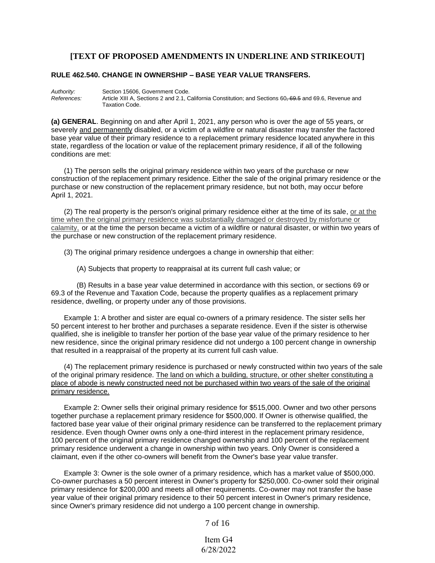#### **[TEXT OF PROPOSED AMENDMENTS IN UNDERLINE AND STRIKEOUT]**

#### **RULE 462.540. CHANGE IN OWNERSHIP – BASE YEAR VALUE TRANSFERS.**

*Authority:* Section 15606, Government Code. *References:* Article XIII A, Sections 2 and 2.1, California Constitution; and Sections 60, 69.5 and 69.6, Revenue and Taxation Code.

**(a) GENERAL**. Beginning on and after April 1, 2021, any person who is over the age of 55 years, or severely and permanently disabled, or a victim of a wildfire or natural disaster may transfer the factored base year value of their primary residence to a replacement primary residence located anywhere in this state, regardless of the location or value of the replacement primary residence, if all of the following conditions are met:

(1) The person sells the original primary residence within two years of the purchase or new construction of the replacement primary residence. Either the sale of the original primary residence or the purchase or new construction of the replacement primary residence, but not both, may occur before April 1, 2021.

(2) The real property is the person's original primary residence either at the time of its sale, or at the time when the original primary residence was substantially damaged or destroyed by misfortune or calamity, or at the time the person became a victim of a wildfire or natural disaster, or within two years of the purchase or new construction of the replacement primary residence.

(3) The original primary residence undergoes a change in ownership that either:

(A) Subjects that property to reappraisal at its current full cash value; or

(B) Results in a base year value determined in accordance with this section, or sections 69 or 69.3 of the Revenue and Taxation Code, because the property qualifies as a replacement primary residence, dwelling, or property under any of those provisions.

Example 1: A brother and sister are equal co-owners of a primary residence. The sister sells her 50 percent interest to her brother and purchases a separate residence. Even if the sister is otherwise qualified, she is ineligible to transfer her portion of the base year value of the primary residence to her new residence, since the original primary residence did not undergo a 100 percent change in ownership that resulted in a reappraisal of the property at its current full cash value.

(4) The replacement primary residence is purchased or newly constructed within two years of the sale of the original primary residence. The land on which a building, structure, or other shelter constituting a place of abode is newly constructed need not be purchased within two years of the sale of the original primary residence.

Example 2: Owner sells their original primary residence for \$515,000. Owner and two other persons together purchase a replacement primary residence for \$500,000. If Owner is otherwise qualified, the factored base year value of their original primary residence can be transferred to the replacement primary residence. Even though Owner owns only a one-third interest in the replacement primary residence, 100 percent of the original primary residence changed ownership and 100 percent of the replacement primary residence underwent a change in ownership within two years. Only Owner is considered a claimant, even if the other co-owners will benefit from the Owner's base year value transfer.

Example 3: Owner is the sole owner of a primary residence, which has a market value of \$500,000. Co-owner purchases a 50 percent interest in Owner's property for \$250,000. Co-owner sold their original primary residence for \$200,000 and meets all other requirements. Co-owner may not transfer the base year value of their original primary residence to their 50 percent interest in Owner's primary residence, since Owner's primary residence did not undergo a 100 percent change in ownership.

7 of 16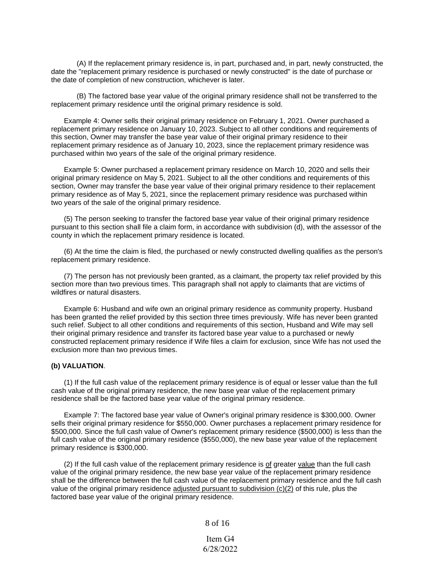(A) If the replacement primary residence is, in part, purchased and, in part, newly constructed, the date the "replacement primary residence is purchased or newly constructed" is the date of purchase or the date of completion of new construction, whichever is later.

(B) The factored base year value of the original primary residence shall not be transferred to the replacement primary residence until the original primary residence is sold.

Example 4: Owner sells their original primary residence on February 1, 2021. Owner purchased a replacement primary residence on January 10, 2023. Subject to all other conditions and requirements of this section, Owner may transfer the base year value of their original primary residence to their replacement primary residence as of January 10, 2023, since the replacement primary residence was purchased within two years of the sale of the original primary residence.

Example 5: Owner purchased a replacement primary residence on March 10, 2020 and sells their original primary residence on May 5, 2021. Subject to all the other conditions and requirements of this section, Owner may transfer the base year value of their original primary residence to their replacement primary residence as of May 5, 2021, since the replacement primary residence was purchased within two years of the sale of the original primary residence.

(5) The person seeking to transfer the factored base year value of their original primary residence pursuant to this section shall file a claim form, in accordance with subdivision (d), with the assessor of the county in which the replacement primary residence is located.

(6) At the time the claim is filed, the purchased or newly constructed dwelling qualifies as the person's replacement primary residence.

(7) The person has not previously been granted, as a claimant, the property tax relief provided by this section more than two previous times. This paragraph shall not apply to claimants that are victims of wildfires or natural disasters.

Example 6: Husband and wife own an original primary residence as community property. Husband has been granted the relief provided by this section three times previously. Wife has never been granted such relief. Subject to all other conditions and requirements of this section, Husband and Wife may sell their original primary residence and transfer its factored base year value to a purchased or newly constructed replacement primary residence if Wife files a claim for exclusion, since Wife has not used the exclusion more than two previous times.

#### **(b) VALUATION**.

(1) If the full cash value of the replacement primary residence is of equal or lesser value than the full cash value of the original primary residence, the new base year value of the replacement primary residence shall be the factored base year value of the original primary residence.

Example 7: The factored base year value of Owner's original primary residence is \$300,000. Owner sells their original primary residence for \$550,000. Owner purchases a replacement primary residence for \$500,000. Since the full cash value of Owner's replacement primary residence (\$500,000) is less than the full cash value of the original primary residence (\$550,000), the new base year value of the replacement primary residence is \$300,000.

(2) If the full cash value of the replacement primary residence is  $of$  greater value than the full cash value of the original primary residence, the new base year value of the replacement primary residence shall be the difference between the full cash value of the replacement primary residence and the full cash value of the original primary residence adjusted pursuant to subdivision  $(c)(2)$  of this rule, plus the factored base year value of the original primary residence.

8 of 16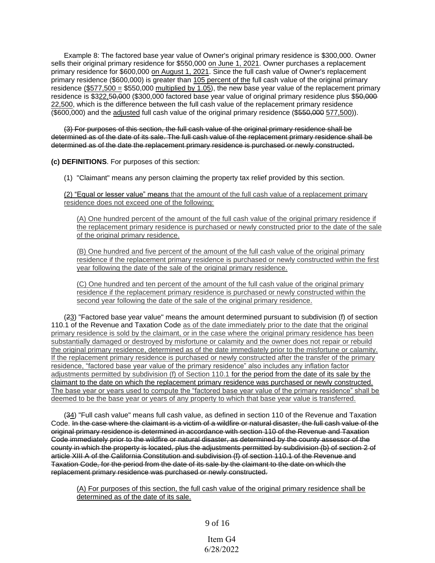Example 8: The factored base year value of Owner's original primary residence is \$300,000. Owner sells their original primary residence for \$550,000 on June 1, 2021. Owner purchases a replacement primary residence for \$600,000 on August 1, 2021. Since the full cash value of Owner's replacement primary residence (\$600,000) is greater than 105 percent of the full cash value of the original primary residence (\$577,500 = \$550,000 multiplied by 1.05), the new base year value of the replacement primary residence is \$322,50,000 (\$300,000 factored base year value of original primary residence plus \$50,000 22,500, which is the difference between the full cash value of the replacement primary residence (\$600,000) and the adjusted full cash value of the original primary residence (\$550,000 577,500)).

(3) For purposes of this section, the full cash value of the original primary residence shall be determined as of the date of its sale. The full cash value of the replacement primary residence shall be determined as of the date the replacement primary residence is purchased or newly constructed.

**(c) DEFINITIONS**. For purposes of this section:

(1) "Claimant" means any person claiming the property tax relief provided by this section.

(2) "Equal or lesser value" means that the amount of the full cash value of a replacement primary residence does not exceed one of the following:

(A) One hundred percent of the amount of the full cash value of the original primary residence if the replacement primary residence is purchased or newly constructed prior to the date of the sale of the original primary residence.

(B) One hundred and five percent of the amount of the full cash value of the original primary residence if the replacement primary residence is purchased or newly constructed within the first year following the date of the sale of the original primary residence.

(C) One hundred and ten percent of the amount of the full cash value of the original primary residence if the replacement primary residence is purchased or newly constructed within the second year following the date of the sale of the original primary residence.

(23) "Factored base year value" means the amount determined pursuant to subdivision (f) of section 110.1 of the Revenue and Taxation Code as of the date immediately prior to the date that the original primary residence is sold by the claimant, or in the case where the original primary residence has been substantially damaged or destroyed by misfortune or calamity and the owner does not repair or rebuild the original primary residence, determined as of the date immediately prior to the misfortune or calamity. If the replacement primary residence is purchased or newly constructed after the transfer of the primary residence, "factored base year value of the primary residence" also includes any inflation factor adjustments permitted by subdivision (f) of Section 110.1 for the period from the date of its sale by the claimant to the date on which the replacement primary residence was purchased or newly constructed. The base year or years used to compute the "factored base year value of the primary residence" shall be deemed to be the base year or years of any property to which that base year value is transferred.

(34) "Full cash value" means full cash value, as defined in section 110 of the Revenue and Taxation Code. In the case where the claimant is a victim of a wildfire or natural disaster, the full cash value of the original primary residence is determined in accordance with section 110 of the Revenue and Taxation Code immediately prior to the wildfire or natural disaster, as determined by the county assessor of the county in which the property is located, plus the adjustments permitted by subdivision (b) of section 2 of article XIII A of the California Constitution and subdivision (f) of section 110.1 of the Revenue and Taxation Code, for the period from the date of its sale by the claimant to the date on which the replacement primary residence was purchased or newly constructed.

(A) For purposes of this section, the full cash value of the original primary residence shall be determined as of the date of its sale.

9 of 16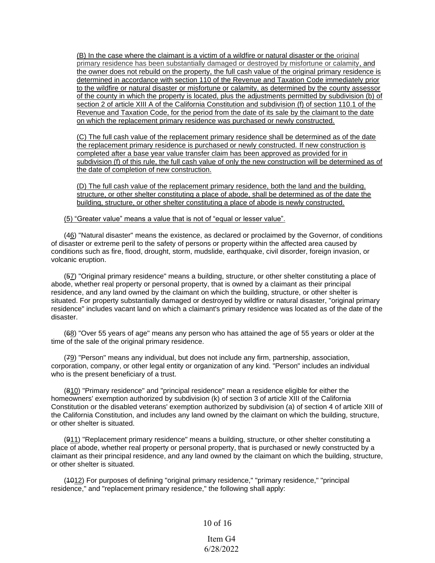(B) In the case where the claimant is a victim of a wildfire or natural disaster or the original primary residence has been substantially damaged or destroyed by misfortune or calamity, and the owner does not rebuild on the property, the full cash value of the original primary residence is determined in accordance with section 110 of the Revenue and Taxation Code immediately prior to the wildfire or natural disaster or misfortune or calamity, as determined by the county assessor of the county in which the property is located, plus the adjustments permitted by subdivision (b) of section 2 of article XIII A of the California Constitution and subdivision (f) of section 110.1 of the Revenue and Taxation Code, for the period from the date of its sale by the claimant to the date on which the replacement primary residence was purchased or newly constructed.

(C) The full cash value of the replacement primary residence shall be determined as of the date the replacement primary residence is purchased or newly constructed. If new construction is completed after a base year value transfer claim has been approved as provided for in subdivision (f) of this rule, the full cash value of only the new construction will be determined as of the date of completion of new construction.

(D) The full cash value of the replacement primary residence, both the land and the building, structure, or other shelter constituting a place of abode, shall be determined as of the date the building, structure, or other shelter constituting a place of abode is newly constructed.

(5) "Greater value" means a value that is not of "equal or lesser value".

(46) "Natural disaster" means the existence, as declared or proclaimed by the Governor, of conditions of disaster or extreme peril to the safety of persons or property within the affected area caused by conditions such as fire, flood, drought, storm, mudslide, earthquake, civil disorder, foreign invasion, or volcanic eruption.

(57) "Original primary residence" means a building, structure, or other shelter constituting a place of abode, whether real property or personal property, that is owned by a claimant as their principal residence, and any land owned by the claimant on which the building, structure, or other shelter is situated. For property substantially damaged or destroyed by wildfire or natural disaster, "original primary residence" includes vacant land on which a claimant's primary residence was located as of the date of the disaster.

(68) "Over 55 years of age" means any person who has attained the age of 55 years or older at the time of the sale of the original primary residence.

(79) "Person" means any individual, but does not include any firm, partnership, association, corporation, company, or other legal entity or organization of any kind. "Person" includes an individual who is the present beneficiary of a trust.

(810) "Primary residence" and "principal residence" mean a residence eligible for either the homeowners' exemption authorized by subdivision (k) of section 3 of article XIII of the California Constitution or the disabled veterans' exemption authorized by subdivision (a) of section 4 of article XIII of the California Constitution, and includes any land owned by the claimant on which the building, structure, or other shelter is situated.

(911) "Replacement primary residence" means a building, structure, or other shelter constituting a place of abode, whether real property or personal property, that is purchased or newly constructed by a claimant as their principal residence, and any land owned by the claimant on which the building, structure, or other shelter is situated.

(4012) For purposes of defining "original primary residence," "primary residence," "principal residence," and "replacement primary residence," the following shall apply:

10 of 16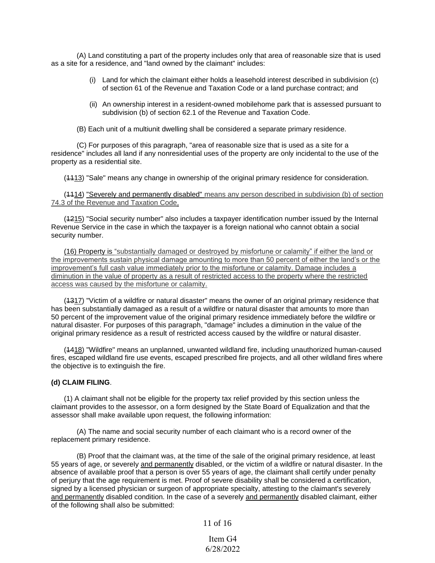(A) Land constituting a part of the property includes only that area of reasonable size that is used as a site for a residence, and "land owned by the claimant" includes:

- (i) Land for which the claimant either holds a leasehold interest described in subdivision (c) of section 61 of the Revenue and Taxation Code or a land purchase contract; and
- (ii) An ownership interest in a resident-owned mobilehome park that is assessed pursuant to subdivision (b) of section 62.1 of the Revenue and Taxation Code.

(B) Each unit of a multiunit dwelling shall be considered a separate primary residence.

(C) For purposes of this paragraph, "area of reasonable size that is used as a site for a residence" includes all land if any nonresidential uses of the property are only incidental to the use of the property as a residential site.

(1113) "Sale" means any change in ownership of the original primary residence for consideration.

(4414) "Severely and permanently disabled" means any person described in subdivision (b) of section 74.3 of the Revenue and Taxation Code.

(4215) "Social security number" also includes a taxpayer identification number issued by the Internal Revenue Service in the case in which the taxpayer is a foreign national who cannot obtain a social security number.

(16) Property is "substantially damaged or destroyed by misfortune or calamity" if either the land or the improvements sustain physical damage amounting to more than 50 percent of either the land's or the improvement's full cash value immediately prior to the misfortune or calamity. Damage includes a diminution in the value of property as a result of restricted access to the property where the restricted access was caused by the misfortune or calamity.

(4317) "Victim of a wildfire or natural disaster" means the owner of an original primary residence that has been substantially damaged as a result of a wildfire or natural disaster that amounts to more than 50 percent of the improvement value of the original primary residence immediately before the wildfire or natural disaster. For purposes of this paragraph, "damage" includes a diminution in the value of the original primary residence as a result of restricted access caused by the wildfire or natural disaster.

(1418) "Wildfire" means an unplanned, unwanted wildland fire, including unauthorized human-caused fires, escaped wildland fire use events, escaped prescribed fire projects, and all other wildland fires where the objective is to extinguish the fire.

#### **(d) CLAIM FILING**.

(1) A claimant shall not be eligible for the property tax relief provided by this section unless the claimant provides to the assessor, on a form designed by the State Board of Equalization and that the assessor shall make available upon request, the following information:

(A) The name and social security number of each claimant who is a record owner of the replacement primary residence.

(B) Proof that the claimant was, at the time of the sale of the original primary residence, at least 55 years of age, or severely and permanently disabled, or the victim of a wildfire or natural disaster. In the absence of available proof that a person is over 55 years of age, the claimant shall certify under penalty of perjury that the age requirement is met. Proof of severe disability shall be considered a certification, signed by a licensed physician or surgeon of appropriate specialty, attesting to the claimant's severely and permanently disabled condition. In the case of a severely and permanently disabled claimant, either of the following shall also be submitted:

11 of 16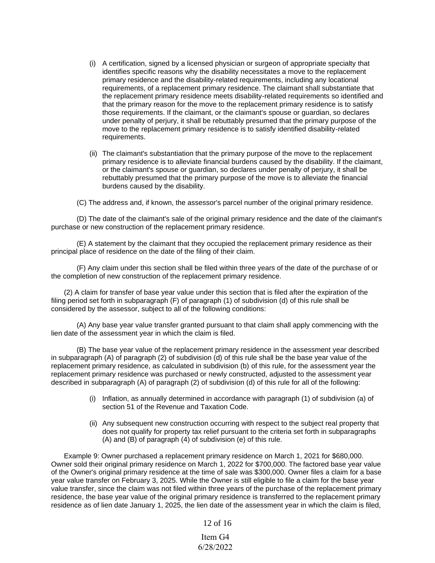- (i) A certification, signed by a licensed physician or surgeon of appropriate specialty that identifies specific reasons why the disability necessitates a move to the replacement primary residence and the disability-related requirements, including any locational requirements, of a replacement primary residence. The claimant shall substantiate that the replacement primary residence meets disability-related requirements so identified and that the primary reason for the move to the replacement primary residence is to satisfy those requirements. If the claimant, or the claimant's spouse or guardian, so declares under penalty of perjury, it shall be rebuttably presumed that the primary purpose of the move to the replacement primary residence is to satisfy identified disability-related requirements.
- (ii) The claimant's substantiation that the primary purpose of the move to the replacement primary residence is to alleviate financial burdens caused by the disability. If the claimant, or the claimant's spouse or guardian, so declares under penalty of perjury, it shall be rebuttably presumed that the primary purpose of the move is to alleviate the financial burdens caused by the disability.

(C) The address and, if known, the assessor's parcel number of the original primary residence.

(D) The date of the claimant's sale of the original primary residence and the date of the claimant's purchase or new construction of the replacement primary residence.

(E) A statement by the claimant that they occupied the replacement primary residence as their principal place of residence on the date of the filing of their claim.

(F) Any claim under this section shall be filed within three years of the date of the purchase of or the completion of new construction of the replacement primary residence.

(2) A claim for transfer of base year value under this section that is filed after the expiration of the filing period set forth in subparagraph (F) of paragraph (1) of subdivision (d) of this rule shall be considered by the assessor, subject to all of the following conditions:

(A) Any base year value transfer granted pursuant to that claim shall apply commencing with the lien date of the assessment year in which the claim is filed.

(B) The base year value of the replacement primary residence in the assessment year described in subparagraph (A) of paragraph (2) of subdivision (d) of this rule shall be the base year value of the replacement primary residence, as calculated in subdivision (b) of this rule, for the assessment year the replacement primary residence was purchased or newly constructed, adjusted to the assessment year described in subparagraph (A) of paragraph (2) of subdivision (d) of this rule for all of the following:

- (i) Inflation, as annually determined in accordance with paragraph (1) of subdivision (a) of section 51 of the Revenue and Taxation Code.
- (ii) Any subsequent new construction occurring with respect to the subject real property that does not qualify for property tax relief pursuant to the criteria set forth in subparagraphs (A) and (B) of paragraph (4) of subdivision (e) of this rule.

Example 9: Owner purchased a replacement primary residence on March 1, 2021 for \$680,000. Owner sold their original primary residence on March 1, 2022 for \$700,000. The factored base year value of the Owner's original primary residence at the time of sale was \$300,000. Owner files a claim for a base year value transfer on February 3, 2025. While the Owner is still eligible to file a claim for the base year value transfer, since the claim was not filed within three years of the purchase of the replacement primary residence, the base year value of the original primary residence is transferred to the replacement primary residence as of lien date January 1, 2025, the lien date of the assessment year in which the claim is filed,

#### 12 of 16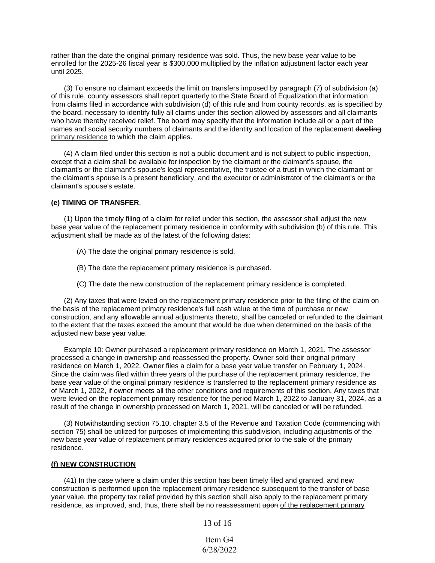rather than the date the original primary residence was sold. Thus, the new base year value to be enrolled for the 2025-26 fiscal year is \$300,000 multiplied by the inflation adjustment factor each year until 2025.

(3) To ensure no claimant exceeds the limit on transfers imposed by paragraph (7) of subdivision (a) of this rule, county assessors shall report quarterly to the State Board of Equalization that information from claims filed in accordance with subdivision (d) of this rule and from county records, as is specified by the board, necessary to identify fully all claims under this section allowed by assessors and all claimants who have thereby received relief. The board may specify that the information include all or a part of the names and social security numbers of claimants and the identity and location of the replacement dwelling primary residence to which the claim applies.

(4) A claim filed under this section is not a public document and is not subject to public inspection, except that a claim shall be available for inspection by the claimant or the claimant's spouse, the claimant's or the claimant's spouse's legal representative, the trustee of a trust in which the claimant or the claimant's spouse is a present beneficiary, and the executor or administrator of the claimant's or the claimant's spouse's estate.

#### **(e) TIMING OF TRANSFER**.

(1) Upon the timely filing of a claim for relief under this section, the assessor shall adjust the new base year value of the replacement primary residence in conformity with subdivision (b) of this rule. This adjustment shall be made as of the latest of the following dates:

- (A) The date the original primary residence is sold.
- (B) The date the replacement primary residence is purchased.
- (C) The date the new construction of the replacement primary residence is completed.

(2) Any taxes that were levied on the replacement primary residence prior to the filing of the claim on the basis of the replacement primary residence's full cash value at the time of purchase or new construction, and any allowable annual adjustments thereto, shall be canceled or refunded to the claimant to the extent that the taxes exceed the amount that would be due when determined on the basis of the adjusted new base year value.

Example 10: Owner purchased a replacement primary residence on March 1, 2021. The assessor processed a change in ownership and reassessed the property. Owner sold their original primary residence on March 1, 2022. Owner files a claim for a base year value transfer on February 1, 2024. Since the claim was filed within three years of the purchase of the replacement primary residence, the base year value of the original primary residence is transferred to the replacement primary residence as of March 1, 2022, if owner meets all the other conditions and requirements of this section. Any taxes that were levied on the replacement primary residence for the period March 1, 2022 to January 31, 2024, as a result of the change in ownership processed on March 1, 2021, will be canceled or will be refunded.

(3) Notwithstanding section 75.10, chapter 3.5 of the Revenue and Taxation Code (commencing with section 75) shall be utilized for purposes of implementing this subdivision, including adjustments of the new base year value of replacement primary residences acquired prior to the sale of the primary residence.

#### **(f) NEW CONSTRUCTION**

(41) In the case where a claim under this section has been timely filed and granted, and new construction is performed upon the replacement primary residence subsequent to the transfer of base year value, the property tax relief provided by this section shall also apply to the replacement primary residence, as improved, and, thus, there shall be no reassessment upon of the replacement primary

13 of 16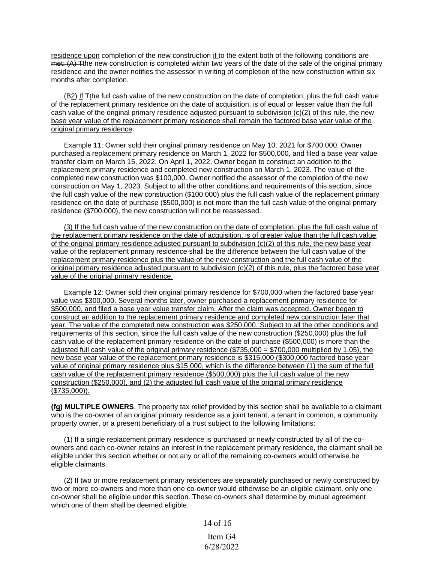residence upon completion of the new construction if to the extent both of the following conditions are met: (A) Tthe new construction is completed within two years of the date of the sale of the original primary residence and the owner notifies the assessor in writing of completion of the new construction within six months after completion.

(B2) If  $\mp$ the full cash value of the new construction on the date of completion, plus the full cash value of the replacement primary residence on the date of acquisition, is of equal or lesser value than the full cash value of the original primary residence adjusted pursuant to subdivision (c)(2) of this rule, the new base year value of the replacement primary residence shall remain the factored base year value of the original primary residence.

Example 11: Owner sold their original primary residence on May 10, 2021 for \$700,000. Owner purchased a replacement primary residence on March 1, 2022 for \$500,000, and filed a base year value transfer claim on March 15, 2022. On April 1, 2022, Owner began to construct an addition to the replacement primary residence and completed new construction on March 1, 2023. The value of the completed new construction was \$100,000. Owner notified the assessor of the completion of the new construction on May 1, 2023. Subject to all the other conditions and requirements of this section, since the full cash value of the new construction (\$100,000) plus the full cash value of the replacement primary residence on the date of purchase (\$500,000) is not more than the full cash value of the original primary residence (\$700,000), the new construction will not be reassessed.

(3) If the full cash value of the new construction on the date of completion, plus the full cash value of the replacement primary residence on the date of acquisition, is of greater value than the full cash value of the original primary residence adjusted pursuant to subdivision  $(c)(2)$  of this rule, the new base year value of the replacement primary residence shall be the difference between the full cash value of the replacement primary residence plus the value of the new construction and the full cash value of the original primary residence adjusted pursuant to subdivision (c)(2) of this rule, plus the factored base year value of the original primary residence.

Example 12: Owner sold their original primary residence for \$700,000 when the factored base year value was \$300,000. Several months later, owner purchased a replacement primary residence for \$500,000, and filed a base year value transfer claim. After the claim was accepted, Owner began to construct an addition to the replacement primary residence and completed new construction later that year. The value of the completed new construction was \$250,000. Subject to all the other conditions and requirements of this section, since the full cash value of the new construction (\$250,000) plus the full cash value of the replacement primary residence on the date of purchase (\$500,000) is more than the adjusted full cash value of the original primary residence  $(\$735,000 = \$700,000$  multiplied by 1.05), the new base year value of the replacement primary residence is \$315,000 (\$300,000 factored base year value of original primary residence plus \$15,000, which is the difference between (1) the sum of the full cash value of the replacement primary residence (\$500,000) plus the full cash value of the new construction (\$250,000), and (2) the adjusted full cash value of the original primary residence (\$735,000)).

**(fg) MULTIPLE OWNERS**. The property tax relief provided by this section shall be available to a claimant who is the co-owner of an original primary residence as a joint tenant, a tenant in common, a community property owner, or a present beneficiary of a trust subject to the following limitations:

(1) If a single replacement primary residence is purchased or newly constructed by all of the coowners and each co-owner retains an interest in the replacement primary residence, the claimant shall be eligible under this section whether or not any or all of the remaining co-owners would otherwise be eligible claimants.

(2) If two or more replacement primary residences are separately purchased or newly constructed by two or more co-owners and more than one co-owner would otherwise be an eligible claimant, only one co-owner shall be eligible under this section. These co-owners shall determine by mutual agreement which one of them shall be deemed eligible.

14 of 16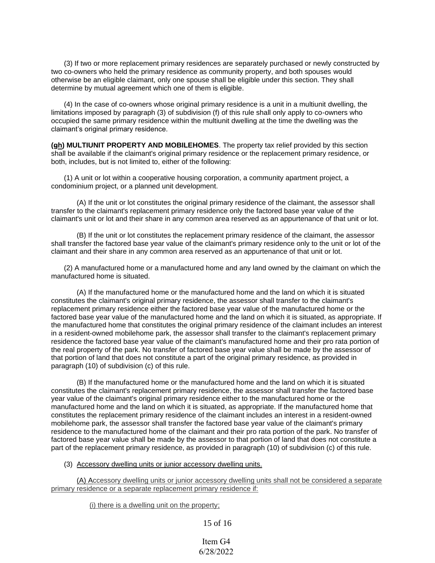(3) If two or more replacement primary residences are separately purchased or newly constructed by two co-owners who held the primary residence as community property, and both spouses would otherwise be an eligible claimant, only one spouse shall be eligible under this section. They shall determine by mutual agreement which one of them is eligible.

(4) In the case of co-owners whose original primary residence is a unit in a multiunit dwelling, the limitations imposed by paragraph (3) of subdivision (f) of this rule shall only apply to co-owners who occupied the same primary residence within the multiunit dwelling at the time the dwelling was the claimant's original primary residence.

**(gh) MULTIUNIT PROPERTY AND MOBILEHOMES**. The property tax relief provided by this section shall be available if the claimant's original primary residence or the replacement primary residence, or both, includes, but is not limited to, either of the following:

(1) A unit or lot within a cooperative housing corporation, a community apartment project, a condominium project, or a planned unit development.

(A) If the unit or lot constitutes the original primary residence of the claimant, the assessor shall transfer to the claimant's replacement primary residence only the factored base year value of the claimant's unit or lot and their share in any common area reserved as an appurtenance of that unit or lot.

(B) If the unit or lot constitutes the replacement primary residence of the claimant, the assessor shall transfer the factored base year value of the claimant's primary residence only to the unit or lot of the claimant and their share in any common area reserved as an appurtenance of that unit or lot.

(2) A manufactured home or a manufactured home and any land owned by the claimant on which the manufactured home is situated.

(A) If the manufactured home or the manufactured home and the land on which it is situated constitutes the claimant's original primary residence, the assessor shall transfer to the claimant's replacement primary residence either the factored base year value of the manufactured home or the factored base year value of the manufactured home and the land on which it is situated, as appropriate. If the manufactured home that constitutes the original primary residence of the claimant includes an interest in a resident-owned mobilehome park, the assessor shall transfer to the claimant's replacement primary residence the factored base year value of the claimant's manufactured home and their pro rata portion of the real property of the park. No transfer of factored base year value shall be made by the assessor of that portion of land that does not constitute a part of the original primary residence, as provided in paragraph (10) of subdivision (c) of this rule.

(B) If the manufactured home or the manufactured home and the land on which it is situated constitutes the claimant's replacement primary residence, the assessor shall transfer the factored base year value of the claimant's original primary residence either to the manufactured home or the manufactured home and the land on which it is situated, as appropriate. If the manufactured home that constitutes the replacement primary residence of the claimant includes an interest in a resident-owned mobilehome park, the assessor shall transfer the factored base year value of the claimant's primary residence to the manufactured home of the claimant and their pro rata portion of the park. No transfer of factored base year value shall be made by the assessor to that portion of land that does not constitute a part of the replacement primary residence, as provided in paragraph (10) of subdivision (c) of this rule.

(3) Accessory dwelling units or junior accessory dwelling units.

(A) Accessory dwelling units or junior accessory dwelling units shall not be considered a separate primary residence or a separate replacement primary residence if:

(i) there is a dwelling unit on the property;

15 of 16